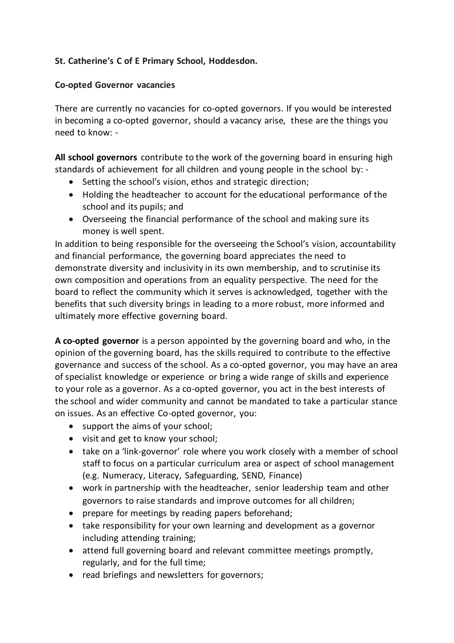## **St. Catherine's C of E Primary School, Hoddesdon.**

## **Co-opted Governor vacancies**

There are currently no vacancies for co-opted governors. If you would be interested in becoming a co-opted governor, should a vacancy arise, these are the things you need to know: -

**All school governors** contribute to the work of the governing board in ensuring high standards of achievement for all children and young people in the school by: -

- Setting the school's vision, ethos and strategic direction;
- Holding the headteacher to account for the educational performance of the school and its pupils; and
- Overseeing the financial performance of the school and making sure its money is well spent.

In addition to being responsible for the overseeing the School's vision, accountability and financial performance, the governing board appreciates the need to demonstrate diversity and inclusivity in its own membership, and to scrutinise its own composition and operations from an equality perspective. The need for the board to reflect the community which it serves is acknowledged, together with the benefits that such diversity brings in leading to a more robust, more informed and ultimately more effective governing board.

**A co-opted governor** is a person appointed by the governing board and who, in the opinion of the governing board, has the skills required to contribute to the effective governance and success of the school. As a co-opted governor, you may have an area of specialist knowledge or experience or bring a wide range of skills and experience to your role as a governor. As a co-opted governor, you act in the best interests of the school and wider community and cannot be mandated to take a particular stance on issues. As an effective Co-opted governor, you:

- support the aims of your school;
- visit and get to know your school;
- take on a 'link-governor' role where you work closely with a member of school staff to focus on a particular curriculum area or aspect of school management (e.g. Numeracy, Literacy, Safeguarding, SEND, Finance)
- work in partnership with the headteacher, senior leadership team and other governors to raise standards and improve outcomes for all children;
- prepare for meetings by reading papers beforehand;
- take responsibility for your own learning and development as a governor including attending training;
- attend full governing board and relevant committee meetings promptly, regularly, and for the full time;
- read briefings and newsletters for governors;